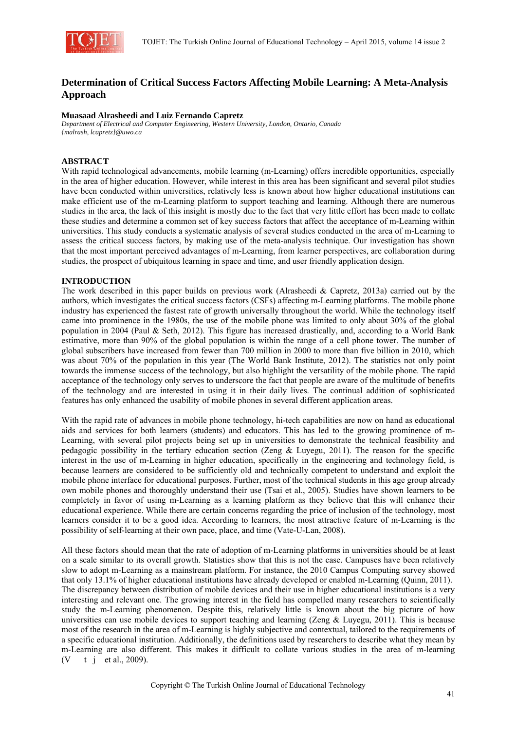

# **Determination of Critical Success Factors Affecting Mobile Learning: A Meta-Analysis Approach**

#### **Muasaad Alrasheedi and Luiz Fernando Capretz**

*Department of Electrical and Computer Engineering, Western University, London, Ontario, Canada {malrash, lcapretz}@uwo.ca* 

# **ABSTRACT**

With rapid technological advancements, mobile learning (m-Learning) offers incredible opportunities, especially in the area of higher education. However, while interest in this area has been significant and several pilot studies have been conducted within universities, relatively less is known about how higher educational institutions can make efficient use of the m-Learning platform to support teaching and learning. Although there are numerous studies in the area, the lack of this insight is mostly due to the fact that very little effort has been made to collate these studies and determine a common set of key success factors that affect the acceptance of m-Learning within universities. This study conducts a systematic analysis of several studies conducted in the area of m-Learning to assess the critical success factors, by making use of the meta-analysis technique. Our investigation has shown that the most important perceived advantages of m-Learning, from learner perspectives, are collaboration during studies, the prospect of ubiquitous learning in space and time, and user friendly application design.

# **INTRODUCTION**

The work described in this paper builds on previous work (Alrasheedi & Capretz, 2013a) carried out by the authors, which investigates the critical success factors (CSFs) affecting m-Learning platforms. The mobile phone industry has experienced the fastest rate of growth universally throughout the world. While the technology itself came into prominence in the 1980s, the use of the mobile phone was limited to only about 30% of the global population in 2004 (Paul & Seth, 2012). This figure has increased drastically, and, according to a World Bank estimative, more than 90% of the global population is within the range of a cell phone tower. The number of global subscribers have increased from fewer than 700 million in 2000 to more than five billion in 2010, which was about 70% of the population in this year (The World Bank Institute, 2012). The statistics not only point towards the immense success of the technology, but also highlight the versatility of the mobile phone. The rapid acceptance of the technology only serves to underscore the fact that people are aware of the multitude of benefits of the technology and are interested in using it in their daily lives. The continual addition of sophisticated features has only enhanced the usability of mobile phones in several different application areas.

With the rapid rate of advances in mobile phone technology, hi-tech capabilities are now on hand as educational aids and services for both learners (students) and educators. This has led to the growing prominence of m-Learning, with several pilot projects being set up in universities to demonstrate the technical feasibility and pedagogic possibility in the tertiary education section (Zeng & Luyegu, 2011). The reason for the specific interest in the use of m-Learning in higher education, specifically in the engineering and technology field, is because learners are considered to be sufficiently old and technically competent to understand and exploit the mobile phone interface for educational purposes. Further, most of the technical students in this age group already own mobile phones and thoroughly understand their use (Tsai et al., 2005). Studies have shown learners to be completely in favor of using m-Learning as a learning platform as they believe that this will enhance their educational experience. While there are certain concerns regarding the price of inclusion of the technology, most learners consider it to be a good idea. According to learners, the most attractive feature of m-Learning is the possibility of self-learning at their own pace, place, and time (Vate-U-Lan, 2008).

All these factors should mean that the rate of adoption of m-Learning platforms in universities should be at least on a scale similar to its overall growth. Statistics show that this is not the case. Campuses have been relatively slow to adopt m-Learning as a mainstream platform. For instance, the 2010 Campus Computing survey showed that only 13.1% of higher educational institutions have already developed or enabled m-Learning (Quinn, 2011). The discrepancy between distribution of mobile devices and their use in higher educational institutions is a very interesting and relevant one. The growing interest in the field has compelled many researchers to scientifically study the m-Learning phenomenon. Despite this, relatively little is known about the big picture of how universities can use mobile devices to support teaching and learning (Zeng & Luyegu, 2011). This is because most of the research in the area of m-Learning is highly subjective and contextual, tailored to the requirements of a specific educational institution. Additionally, the definitions used by researchers to describe what they mean by m-Learning are also different. This makes it difficult to collate various studies in the area of m-learning  $(V \t i$  et al., 2009).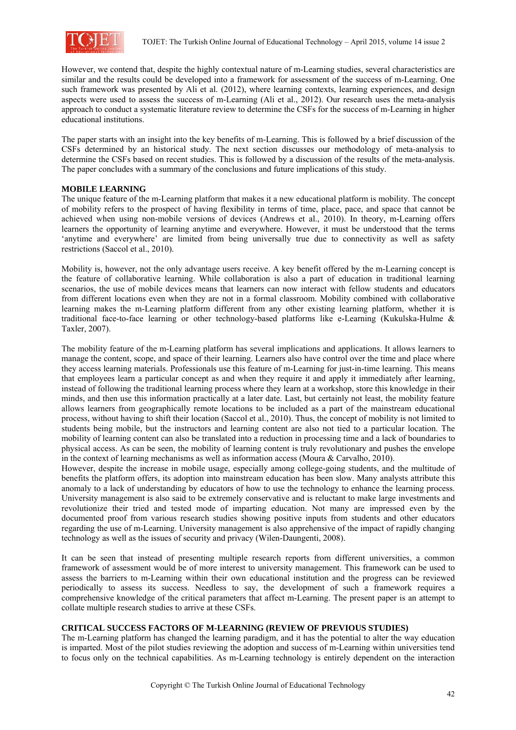

However, we contend that, despite the highly contextual nature of m-Learning studies, several characteristics are similar and the results could be developed into a framework for assessment of the success of m-Learning. One such framework was presented by Ali et al. (2012), where learning contexts, learning experiences, and design aspects were used to assess the success of m-Learning (Ali et al., 2012). Our research uses the meta-analysis approach to conduct a systematic literature review to determine the CSFs for the success of m-Learning in higher educational institutions.

The paper starts with an insight into the key benefits of m-Learning. This is followed by a brief discussion of the CSFs determined by an historical study. The next section discusses our methodology of meta-analysis to determine the CSFs based on recent studies. This is followed by a discussion of the results of the meta-analysis. The paper concludes with a summary of the conclusions and future implications of this study.

# **MOBILE LEARNING**

The unique feature of the m-Learning platform that makes it a new educational platform is mobility. The concept of mobility refers to the prospect of having flexibility in terms of time, place, pace, and space that cannot be achieved when using non-mobile versions of devices (Andrews et al., 2010). In theory, m-Learning offers learners the opportunity of learning anytime and everywhere. However, it must be understood that the terms 'anytime and everywhere' are limited from being universally true due to connectivity as well as safety restrictions (Saccol et al., 2010).

Mobility is, however, not the only advantage users receive. A key benefit offered by the m-Learning concept is the feature of collaborative learning. While collaboration is also a part of education in traditional learning scenarios, the use of mobile devices means that learners can now interact with fellow students and educators from different locations even when they are not in a formal classroom. Mobility combined with collaborative learning makes the m-Learning platform different from any other existing learning platform, whether it is traditional face-to-face learning or other technology-based platforms like e-Learning (Kukulska-Hulme & Taxler, 2007).

The mobility feature of the m-Learning platform has several implications and applications. It allows learners to manage the content, scope, and space of their learning. Learners also have control over the time and place where they access learning materials. Professionals use this feature of m-Learning for just-in-time learning. This means that employees learn a particular concept as and when they require it and apply it immediately after learning, instead of following the traditional learning process where they learn at a workshop, store this knowledge in their minds, and then use this information practically at a later date. Last, but certainly not least, the mobility feature allows learners from geographically remote locations to be included as a part of the mainstream educational process, without having to shift their location (Saccol et al., 2010). Thus, the concept of mobility is not limited to students being mobile, but the instructors and learning content are also not tied to a particular location. The mobility of learning content can also be translated into a reduction in processing time and a lack of boundaries to physical access. As can be seen, the mobility of learning content is truly revolutionary and pushes the envelope in the context of learning mechanisms as well as information access (Moura  $& Carvalho, 2010$ ).

However, despite the increase in mobile usage, especially among college-going students, and the multitude of benefits the platform offers, its adoption into mainstream education has been slow. Many analysts attribute this anomaly to a lack of understanding by educators of how to use the technology to enhance the learning process. University management is also said to be extremely conservative and is reluctant to make large investments and revolutionize their tried and tested mode of imparting education. Not many are impressed even by the documented proof from various research studies showing positive inputs from students and other educators regarding the use of m-Learning. University management is also apprehensive of the impact of rapidly changing technology as well as the issues of security and privacy (Wilen-Daungenti, 2008).

It can be seen that instead of presenting multiple research reports from different universities, a common framework of assessment would be of more interest to university management. This framework can be used to assess the barriers to m-Learning within their own educational institution and the progress can be reviewed periodically to assess its success. Needless to say, the development of such a framework requires a comprehensive knowledge of the critical parameters that affect m-Learning. The present paper is an attempt to collate multiple research studies to arrive at these CSFs.

## **CRITICAL SUCCESS FACTORS OF M-LEARNING (REVIEW OF PREVIOUS STUDIES)**

The m-Learning platform has changed the learning paradigm, and it has the potential to alter the way education is imparted. Most of the pilot studies reviewing the adoption and success of m-Learning within universities tend to focus only on the technical capabilities. As m-Learning technology is entirely dependent on the interaction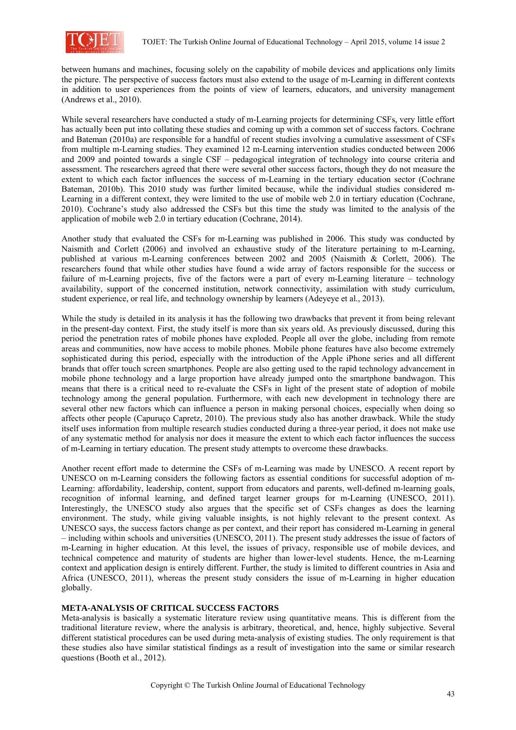

between humans and machines, focusing solely on the capability of mobile devices and applications only limits the picture. The perspective of success factors must also extend to the usage of m-Learning in different contexts in addition to user experiences from the points of view of learners, educators, and university management (Andrews et al., 2010).

While several researchers have conducted a study of m-Learning projects for determining CSFs, very little effort has actually been put into collating these studies and coming up with a common set of success factors. Cochrane and Bateman (2010a) are responsible for a handful of recent studies involving a cumulative assessment of CSFs from multiple m-Learning studies. They examined 12 m-Learning intervention studies conducted between 2006 and 2009 and pointed towards a single CSF – pedagogical integration of technology into course criteria and assessment. The researchers agreed that there were several other success factors, though they do not measure the extent to which each factor influences the success of m-Learning in the tertiary education sector (Cochrane Bateman, 2010b). This 2010 study was further limited because, while the individual studies considered m-Learning in a different context, they were limited to the use of mobile web 2.0 in tertiary education (Cochrane, 2010). Cochrane's study also addressed the CSFs but this time the study was limited to the analysis of the application of mobile web 2.0 in tertiary education (Cochrane, 2014).

Another study that evaluated the CSFs for m-Learning was published in 2006. This study was conducted by Naismith and Corlett (2006) and involved an exhaustive study of the literature pertaining to m-Learning, published at various m-Learning conferences between 2002 and 2005 (Naismith & Corlett, 2006). The researchers found that while other studies have found a wide array of factors responsible for the success or failure of m-Learning projects, five of the factors were a part of every m-Learning literature – technology availability, support of the concerned institution, network connectivity, assimilation with study curriculum, student experience, or real life, and technology ownership by learners (Adeyeye et al., 2013).

While the study is detailed in its analysis it has the following two drawbacks that prevent it from being relevant in the present-day context. First, the study itself is more than six years old. As previously discussed, during this period the penetration rates of mobile phones have exploded. People all over the globe, including from remote areas and communities, now have access to mobile phones. Mobile phone features have also become extremely sophisticated during this period, especially with the introduction of the Apple iPhone series and all different brands that offer touch screen smartphones. People are also getting used to the rapid technology advancement in mobile phone technology and a large proportion have already jumped onto the smartphone bandwagon. This means that there is a critical need to re-evaluate the CSFs in light of the present state of adoption of mobile technology among the general population. Furthermore, with each new development in technology there are several other new factors which can influence a person in making personal choices, especially when doing so affects other people (Capuruço Capretz, 2010). The previous study also has another drawback. While the study itself uses information from multiple research studies conducted during a three-year period, it does not make use of any systematic method for analysis nor does it measure the extent to which each factor influences the success of m-Learning in tertiary education. The present study attempts to overcome these drawbacks.

Another recent effort made to determine the CSFs of m-Learning was made by UNESCO. A recent report by UNESCO on m-Learning considers the following factors as essential conditions for successful adoption of m-Learning: affordability, leadership, content, support from educators and parents, well-defined m-learning goals, recognition of informal learning, and defined target learner groups for m-Learning (UNESCO, 2011). Interestingly, the UNESCO study also argues that the specific set of CSFs changes as does the learning environment. The study, while giving valuable insights, is not highly relevant to the present context. As UNESCO says, the success factors change as per context, and their report has considered m-Learning in general – including within schools and universities (UNESCO, 2011). The present study addresses the issue of factors of m-Learning in higher education. At this level, the issues of privacy, responsible use of mobile devices, and technical competence and maturity of students are higher than lower-level students. Hence, the m-Learning context and application design is entirely different. Further, the study is limited to different countries in Asia and Africa (UNESCO, 2011), whereas the present study considers the issue of m-Learning in higher education globally.

#### **META-ANALYSIS OF CRITICAL SUCCESS FACTORS**

Meta-analysis is basically a systematic literature review using quantitative means. This is different from the traditional literature review, where the analysis is arbitrary, theoretical, and, hence, highly subjective. Several different statistical procedures can be used during meta-analysis of existing studies. The only requirement is that these studies also have similar statistical findings as a result of investigation into the same or similar research questions (Booth et al., 2012).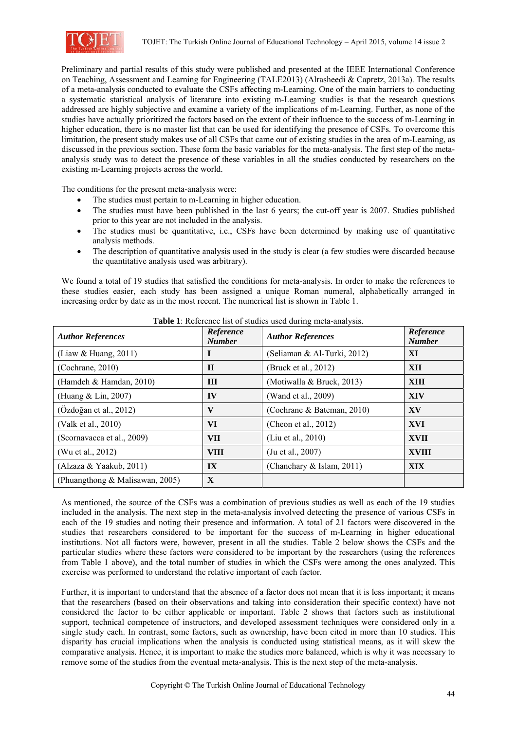

Preliminary and partial results of this study were published and presented at the IEEE International Conference on Teaching, Assessment and Learning for Engineering (TALE2013) (Alrasheedi & Capretz, 2013a). The results of a meta-analysis conducted to evaluate the CSFs affecting m-Learning. One of the main barriers to conducting a systematic statistical analysis of literature into existing m-Learning studies is that the research questions addressed are highly subjective and examine a variety of the implications of m-Learning. Further, as none of the studies have actually prioritized the factors based on the extent of their influence to the success of m-Learning in higher education, there is no master list that can be used for identifying the presence of CSFs. To overcome this limitation, the present study makes use of all CSFs that came out of existing studies in the area of m-Learning, as discussed in the previous section. These form the basic variables for the meta-analysis. The first step of the metaanalysis study was to detect the presence of these variables in all the studies conducted by researchers on the existing m-Learning projects across the world.

The conditions for the present meta-analysis were:

- The studies must pertain to m-Learning in higher education.
- The studies must have been published in the last 6 years; the cut-off year is 2007. Studies published prior to this year are not included in the analysis.
- The studies must be quantitative, i.e., CSFs have been determined by making use of quantitative analysis methods.
- The description of quantitative analysis used in the study is clear (a few studies were discarded because the quantitative analysis used was arbitrary).

We found a total of 19 studies that satisfied the conditions for meta-analysis. In order to make the references to these studies easier, each study has been assigned a unique Roman numeral, alphabetically arranged in increasing order by date as in the most recent. The numerical list is shown in Table 1.

| <b>Author References</b>        | Reference<br><b>Number</b> | <b>Author References</b>    | Reference<br><b>Number</b> |
|---------------------------------|----------------------------|-----------------------------|----------------------------|
| (Liaw & Huang, 2011)            | I                          | (Seliaman & Al-Turki, 2012) | XI                         |
| (Cochrane, 2010)                | $\mathbf{H}$               | (Bruck et al., 2012)        | XII                        |
| (Hamdeh & Hamdan, 2010)         | III                        | (Motiwalla & Bruck, 2013)   | <b>XIII</b>                |
| (Huang & Lin, 2007)             | IV                         | (Wand et al., 2009)         | <b>XIV</b>                 |
| (Özdoğan et al., 2012)          | V                          | (Cochrane & Bateman, 2010)  | XV                         |
| (Valk et al., 2010)             | VI                         | (Cheon et al., $2012$ )     | XVI                        |
| (Scornavacca et al., 2009)      | <b>VII</b>                 | (Liu et al., 2010)          | XVII                       |
| (Wu et al., 2012)               | <b>VIII</b>                | (Ju et al., 2007)           | <b>XVIII</b>               |
| (Alzaza & Yaakub, 2011)         | $\mathbf{I}$               | (Chanchary & Islam, 2011)   | <b>XIX</b>                 |
| (Phuangthong & Malisawan, 2005) | $\mathbf{X}$               |                             |                            |

**Table 1**: Reference list of studies used during meta-analysis.

As mentioned, the source of the CSFs was a combination of previous studies as well as each of the 19 studies included in the analysis. The next step in the meta-analysis involved detecting the presence of various CSFs in each of the 19 studies and noting their presence and information. A total of 21 factors were discovered in the studies that researchers considered to be important for the success of m-Learning in higher educational institutions. Not all factors were, however, present in all the studies. Table 2 below shows the CSFs and the particular studies where these factors were considered to be important by the researchers (using the references from Table 1 above), and the total number of studies in which the CSFs were among the ones analyzed. This exercise was performed to understand the relative important of each factor.

Further, it is important to understand that the absence of a factor does not mean that it is less important; it means that the researchers (based on their observations and taking into consideration their specific context) have not considered the factor to be either applicable or important. Table 2 shows that factors such as institutional support, technical competence of instructors, and developed assessment techniques were considered only in a single study each. In contrast, some factors, such as ownership, have been cited in more than 10 studies. This disparity has crucial implications when the analysis is conducted using statistical means, as it will skew the comparative analysis. Hence, it is important to make the studies more balanced, which is why it was necessary to remove some of the studies from the eventual meta-analysis. This is the next step of the meta-analysis.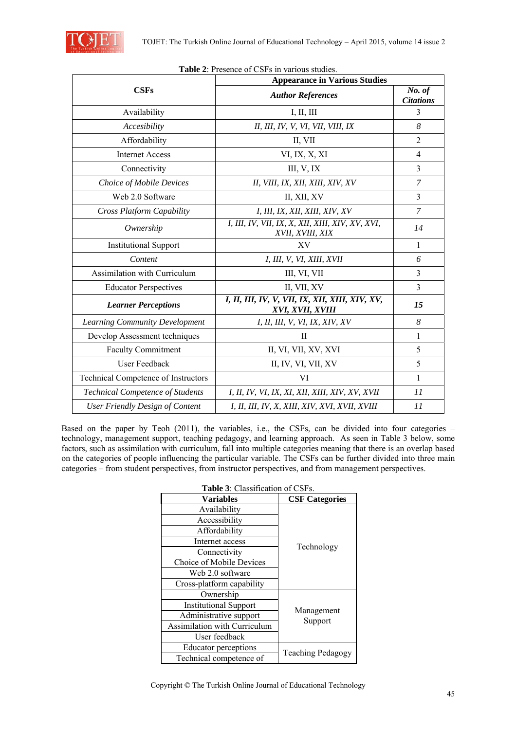

| Table 2: Presence of CSFs in various studies. |                                                                      |                            |  |  |  |
|-----------------------------------------------|----------------------------------------------------------------------|----------------------------|--|--|--|
|                                               | <b>Appearance in Various Studies</b>                                 |                            |  |  |  |
| <b>CSFs</b>                                   | <b>Author References</b>                                             | No. of<br><b>Citations</b> |  |  |  |
| Availability                                  | I, II, III                                                           | 3                          |  |  |  |
| Accesibility                                  | II, III, IV, V, VI, VII, VIII, IX                                    | 8                          |  |  |  |
| Affordability                                 | II, VII                                                              | $\overline{2}$             |  |  |  |
| <b>Internet Access</b>                        | VI, IX, X, XI                                                        | $\overline{4}$             |  |  |  |
| Connectivity                                  | III, $V$ , IX                                                        | 3                          |  |  |  |
| Choice of Mobile Devices                      | II, VIII, IX, XII, XIII, XIV, XV                                     | 7                          |  |  |  |
| Web 2.0 Software                              | II, XII, XV                                                          | 3                          |  |  |  |
| Cross Platform Capability                     | I, III, IX, XII, XIII, XIV, XV                                       | $\overline{7}$             |  |  |  |
| Ownership                                     | I, III, IV, VII, IX, X, XII, XIII, XIV, XV, XVI,<br>XVII, XVIII, XIX | 14                         |  |  |  |
| <b>Institutional Support</b>                  | XV                                                                   | 1                          |  |  |  |
| Content                                       | <i>I, III, V, VI, XIII, XVII</i>                                     | 6                          |  |  |  |
| Assimilation with Curriculum                  | III, VI, VII                                                         | 3                          |  |  |  |
| <b>Educator Perspectives</b>                  | II, VII, XV                                                          | 3                          |  |  |  |
| <b>Learner Perceptions</b>                    | I, II, III, IV, V, VII, IX, XII, XIII, XIV, XV,<br>XVI, XVII, XVIII  | 15                         |  |  |  |
| Learning Community Development                | I, II, III, V, VI, IX, XIV, XV                                       | 8                          |  |  |  |
| Develop Assessment techniques                 | $\mathbf{I}$                                                         | 1                          |  |  |  |
| <b>Faculty Commitment</b>                     | II, VI, VII, XV, XVI                                                 | 5                          |  |  |  |
| User Feedback                                 | II, IV, VI, VII, XV                                                  | 5                          |  |  |  |
| Technical Competence of Instructors           | VI                                                                   | 1                          |  |  |  |
| <b>Technical Competence of Students</b>       | I, II, IV, VI, IX, XI, XII, XIII, XIV, XV, XVII                      | 11                         |  |  |  |
| <b>User Friendly Design of Content</b>        | I, II, III, IV, X, XIII, XIV, XVI, XVII, XVIII                       | 11                         |  |  |  |

Based on the paper by Teoh (2011), the variables, i.e., the CSFs, can be divided into four categories – technology, management support, teaching pedagogy, and learning approach. As seen in Table 3 below, some factors, such as assimilation with curriculum, fall into multiple categories meaning that there is an overlap based on the categories of people influencing the particular variable. The CSFs can be further divided into three main categories – from student perspectives, from instructor perspectives, and from management perspectives.

| Table 3: Classification of CSFs.    |                       |  |  |  |
|-------------------------------------|-----------------------|--|--|--|
| Variables                           | <b>CSF Categories</b> |  |  |  |
| Availability                        |                       |  |  |  |
| Accessibility                       |                       |  |  |  |
| Affordability                       |                       |  |  |  |
| Internet access                     | Technology            |  |  |  |
| Connectivity                        |                       |  |  |  |
| Choice of Mobile Devices            |                       |  |  |  |
| Web 2.0 software                    |                       |  |  |  |
| Cross-platform capability           |                       |  |  |  |
| Ownership                           |                       |  |  |  |
| <b>Institutional Support</b>        |                       |  |  |  |
| Administrative support              | Management<br>Support |  |  |  |
| <b>Assimilation with Curriculum</b> |                       |  |  |  |
| User feedback                       |                       |  |  |  |
| Educator perceptions                | Teaching Pedagogy     |  |  |  |
| Technical competence of             |                       |  |  |  |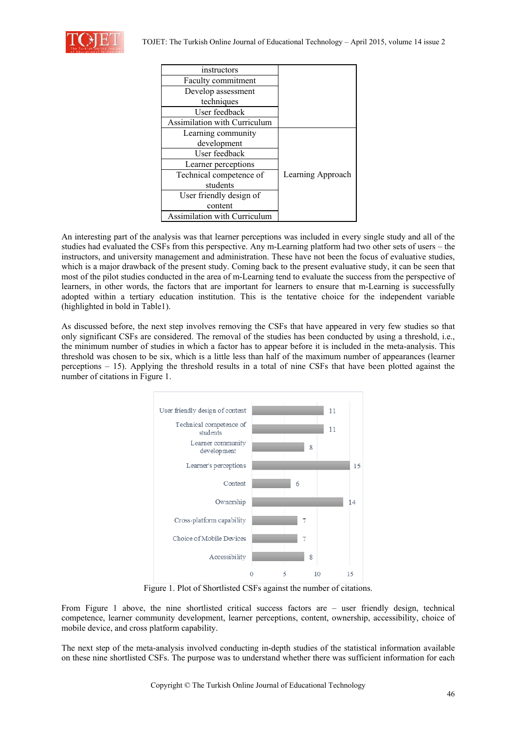

| instructors                         |                   |
|-------------------------------------|-------------------|
| Faculty commitment                  |                   |
| Develop assessment                  |                   |
| techniques                          |                   |
| User feedback                       |                   |
| Assimilation with Curriculum        |                   |
| Learning community                  |                   |
| development                         |                   |
| User feedback                       |                   |
| Learner perceptions                 |                   |
| Technical competence of             | Learning Approach |
| students                            |                   |
| User friendly design of             |                   |
| content                             |                   |
| <b>Assimilation with Curriculum</b> |                   |

An interesting part of the analysis was that learner perceptions was included in every single study and all of the studies had evaluated the CSFs from this perspective. Any m-Learning platform had two other sets of users – the instructors, and university management and administration. These have not been the focus of evaluative studies, which is a major drawback of the present study. Coming back to the present evaluative study, it can be seen that most of the pilot studies conducted in the area of m-Learning tend to evaluate the success from the perspective of learners, in other words, the factors that are important for learners to ensure that m-Learning is successfully adopted within a tertiary education institution. This is the tentative choice for the independent variable (highlighted in bold in Table1).

As discussed before, the next step involves removing the CSFs that have appeared in very few studies so that only significant CSFs are considered. The removal of the studies has been conducted by using a threshold, i.e., the minimum number of studies in which a factor has to appear before it is included in the meta-analysis. This threshold was chosen to be six, which is a little less than half of the maximum number of appearances (learner perceptions – 15). Applying the threshold results in a total of nine CSFs that have been plotted against the number of citations in Figure 1.



Figure 1. Plot of Shortlisted CSFs against the number of citations.

From Figure 1 above, the nine shortlisted critical success factors are – user friendly design, technical competence, learner community development, learner perceptions, content, ownership, accessibility, choice of mobile device, and cross platform capability.

The next step of the meta-analysis involved conducting in-depth studies of the statistical information available on these nine shortlisted CSFs. The purpose was to understand whether there was sufficient information for each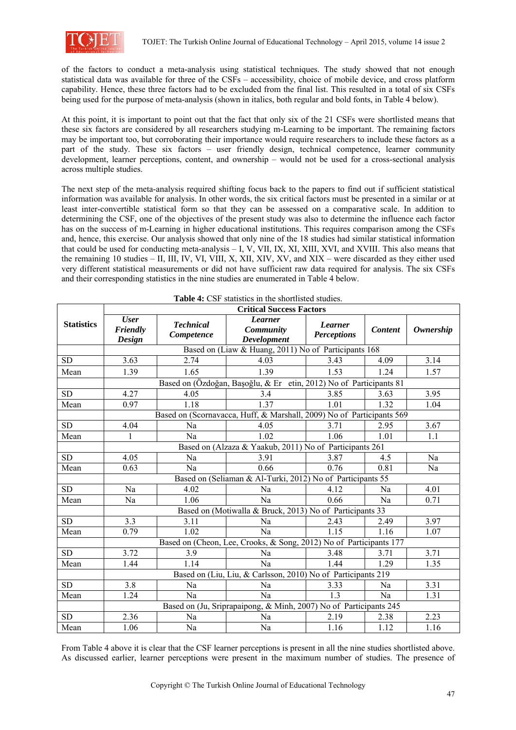

of the factors to conduct a meta-analysis using statistical techniques. The study showed that not enough statistical data was available for three of the CSFs – accessibility, choice of mobile device, and cross platform capability. Hence, these three factors had to be excluded from the final list. This resulted in a total of six CSFs being used for the purpose of meta-analysis (shown in italics, both regular and bold fonts, in Table 4 below).

At this point, it is important to point out that the fact that only six of the 21 CSFs were shortlisted means that these six factors are considered by all researchers studying m-Learning to be important. The remaining factors may be important too, but corroborating their importance would require researchers to include these factors as a part of the study. These six factors – user friendly design, technical competence, learner community development, learner perceptions, content, and ownership – would not be used for a cross-sectional analysis across multiple studies.

The next step of the meta-analysis required shifting focus back to the papers to find out if sufficient statistical information was available for analysis. In other words, the six critical factors must be presented in a similar or at least inter-convertible statistical form so that they can be assessed on a comparative scale. In addition to determining the CSF, one of the objectives of the present study was also to determine the influence each factor has on the success of m-Learning in higher educational institutions. This requires comparison among the CSFs and, hence, this exercise. Our analysis showed that only nine of the 18 studies had similar statistical information that could be used for conducting meta-analysis – I, V, VII, IX, XI, XIII, XVI, and XVIII. This also means that the remaining 10 studies – II, III, IV, VI, VIII, X, XII, XIV, XV, and XIX – were discarded as they either used very different statistical measurements or did not have sufficient raw data required for analysis. The six CSFs and their corresponding statistics in the nine studies are enumerated in Table 4 below.

|                   | <b>Table 4:</b> CSF statistics in the shortlisted studies.<br><b>Critical Success Factors</b> |                                |                                                                   |                                      |                |                  |  |  |
|-------------------|-----------------------------------------------------------------------------------------------|--------------------------------|-------------------------------------------------------------------|--------------------------------------|----------------|------------------|--|--|
| <b>Statistics</b> | <b>User</b><br>Friendly<br>Design                                                             | <b>Technical</b><br>Competence | <b>Learner</b><br>Community<br><b>Development</b>                 | <b>Learner</b><br><b>Perceptions</b> | <b>Content</b> | <b>Ownership</b> |  |  |
|                   | Based on (Liaw & Huang, 2011) No of Participants 168                                          |                                |                                                                   |                                      |                |                  |  |  |
| <b>SD</b>         | 3.63                                                                                          | 2.74                           | 4.03                                                              | 3.43                                 | 3.14<br>4.09   |                  |  |  |
| Mean              | 1.39                                                                                          | 1.65                           | 1.39                                                              | 1.53                                 | 1.24           | 1.57             |  |  |
|                   | Based on (Özdoğan, Başoğlu, & Er etin, 2012) No of Participants 81                            |                                |                                                                   |                                      |                |                  |  |  |
| <b>SD</b>         | 4.27                                                                                          | 4.05                           | 3.4                                                               | 3.85                                 | 3.63           | 3.95             |  |  |
| Mean              | 0.97                                                                                          | 1.18                           | 1.37                                                              | 1.01                                 | 1.32           | 1.04             |  |  |
|                   | Based on (Scornavacca, Huff, & Marshall, 2009) No of Participants 569                         |                                |                                                                   |                                      |                |                  |  |  |
| <b>SD</b>         | 4.04                                                                                          | Na                             | 4.05                                                              | 3.71                                 | 2.95           | 3.67             |  |  |
| Mean              | 1                                                                                             | Na                             | 1.02                                                              | 1.06                                 | 1.01           | 1.1              |  |  |
|                   | Based on (Alzaza & Yaakub, 2011) No of Participants 261                                       |                                |                                                                   |                                      |                |                  |  |  |
| <b>SD</b>         | 4.05                                                                                          | Na                             | 3.91                                                              | 3.87                                 | 4.5            | Na               |  |  |
| Mean              | 0.63                                                                                          | Na                             | 0.66                                                              | 0.76                                 | 0.81           | Na               |  |  |
|                   | Based on (Seliaman & Al-Turki, 2012) No of Participants 55                                    |                                |                                                                   |                                      |                |                  |  |  |
| <b>SD</b>         | Na                                                                                            | 4.02                           | Na                                                                | 4.12                                 | Na             | 4.01             |  |  |
| Mean              | Na                                                                                            | 1.06                           | Na                                                                | 0.66<br>Na                           |                | 0.71             |  |  |
|                   | Based on (Motiwalla & Bruck, 2013) No of Participants 33                                      |                                |                                                                   |                                      |                |                  |  |  |
| <b>SD</b>         | 3.3                                                                                           | 3.11                           | Na                                                                | 2.43                                 | 2.49           | 3.97             |  |  |
| Mean              | 0.79                                                                                          | 1.02                           | Na                                                                | 1.15                                 | 1.16           | 1.07             |  |  |
|                   | Based on (Cheon, Lee, Crooks, & Song, 2012) No of Participants 177                            |                                |                                                                   |                                      |                |                  |  |  |
| <b>SD</b>         | 3.72                                                                                          | 3.9                            | Na                                                                | 3.48                                 | 3.71           | 3.71             |  |  |
| Mean              | 1.44                                                                                          | 1.14                           | Na                                                                | 1.44                                 | 1.29           | 1.35             |  |  |
|                   | Based on (Liu, Liu, & Carlsson, 2010) No of Participants 219                                  |                                |                                                                   |                                      |                |                  |  |  |
| <b>SD</b>         | 3.8                                                                                           | Na                             | Na                                                                | 3.33<br>Na                           |                | 3.31             |  |  |
| Mean              | 1.24                                                                                          | Na                             | Na                                                                | 13                                   | Na             | 1.31             |  |  |
|                   |                                                                                               |                                | Based on (Ju, Sriprapaipong, & Minh, 2007) No of Participants 245 |                                      |                |                  |  |  |
| <b>SD</b>         | 2.36                                                                                          | Na                             | Na                                                                | 2.19                                 | 2.38           | 2.23             |  |  |
| Mean              | 1.06                                                                                          | Na                             | Na                                                                | 1.16                                 | 1.12           | 1.16             |  |  |

**Table 4:** CSF statistics in the shortlisted studies.

From Table 4 above it is clear that the CSF learner perceptions is present in all the nine studies shortlisted above. As discussed earlier, learner perceptions were present in the maximum number of studies. The presence of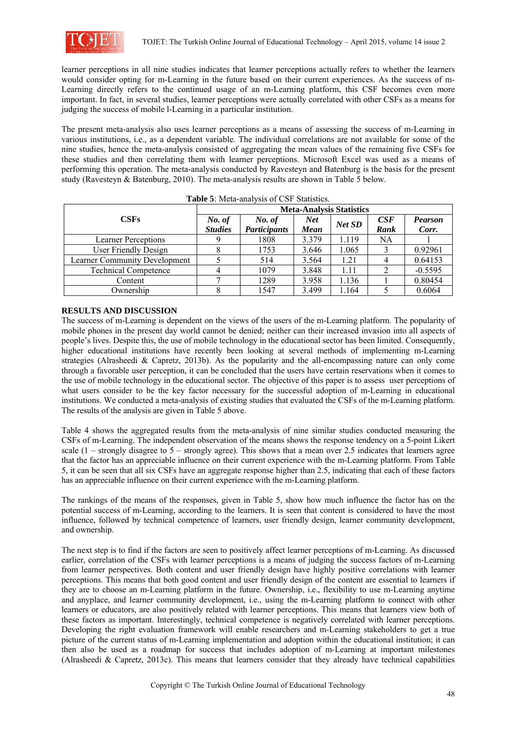

learner perceptions in all nine studies indicates that learner perceptions actually refers to whether the learners would consider opting for m-Learning in the future based on their current experiences. As the success of m-Learning directly refers to the continued usage of an m-Learning platform, this CSF becomes even more important. In fact, in several studies, learner perceptions were actually correlated with other CSFs as a means for judging the success of mobile l-Learning in a particular institution.

The present meta-analysis also uses learner perceptions as a means of assessing the success of m-Learning in various institutions, i.e., as a dependent variable. The individual correlations are not available for some of the nine studies, hence the meta-analysis consisted of aggregating the mean values of the remaining five CSFs for these studies and then correlating them with learner perceptions. Microsoft Excel was used as a means of performing this operation. The meta-analysis conducted by Ravesteyn and Batenburg is the basis for the present study (Ravesteyn & Batenburg, 2010). The meta-analysis results are shown in Table 5 below.

|                                      | <b>Meta-Analysis Statistics</b> |                     |                           |        |      |                |
|--------------------------------------|---------------------------------|---------------------|---------------------------|--------|------|----------------|
| CSFs                                 | No. of<br><b>Studies</b>        | No. of              | <b>Net</b><br><b>Mean</b> | Net SD | CSE  | <b>Pearson</b> |
|                                      |                                 | <b>Participants</b> |                           |        | Rank | Corr.          |
| <b>Learner Perceptions</b>           |                                 | 1808                | 3.379                     | 1.119  | NA   |                |
| User Friendly Design                 |                                 | 1753                | 3.646                     | 1.065  |      | 0.92961        |
| <b>Learner Community Development</b> |                                 | 514                 | 3.564                     | 1.21   |      | 0.64153        |
| <b>Technical Competence</b>          |                                 | 1079                | 3.848                     | 1.11   |      | $-0.5595$      |
| Content                              |                                 | 1289                | 3.958                     | 1.136  |      | 0.80454        |
| Ownership                            |                                 | 1547                | 3.499                     | 1.164  |      | 0.6064         |

## **RESULTS AND DISCUSSION**

The success of m-Learning is dependent on the views of the users of the m-Learning platform. The popularity of mobile phones in the present day world cannot be denied; neither can their increased invasion into all aspects of people's lives. Despite this, the use of mobile technology in the educational sector has been limited. Consequently, higher educational institutions have recently been looking at several methods of implementing m-Learning strategies (Alrasheedi & Capretz, 2013b). As the popularity and the all-encompassing nature can only come through a favorable user perception, it can be concluded that the users have certain reservations when it comes to the use of mobile technology in the educational sector. The objective of this paper is to assess user perceptions of what users consider to be the key factor necessary for the successful adoption of m-Learning in educational institutions. We conducted a meta-analysis of existing studies that evaluated the CSFs of the m-Learning platform. The results of the analysis are given in Table 5 above.

Table 4 shows the aggregated results from the meta-analysis of nine similar studies conducted measuring the CSFs of m-Learning. The independent observation of the means shows the response tendency on a 5-point Likert scale  $(1 -$  strongly disagree to  $5 -$  strongly agree). This shows that a mean over 2.5 indicates that learners agree that the factor has an appreciable influence on their current experience with the m-Learning platform. From Table 5, it can be seen that all six CSFs have an aggregate response higher than 2.5, indicating that each of these factors has an appreciable influence on their current experience with the m-Learning platform.

The rankings of the means of the responses, given in Table 5, show how much influence the factor has on the potential success of m-Learning, according to the learners. It is seen that content is considered to have the most influence, followed by technical competence of learners, user friendly design, learner community development, and ownership.

The next step is to find if the factors are seen to positively affect learner perceptions of m-Learning. As discussed earlier, correlation of the CSFs with learner perceptions is a means of judging the success factors of m-Learning from learner perspectives. Both content and user friendly design have highly positive correlations with learner perceptions. This means that both good content and user friendly design of the content are essential to learners if they are to choose an m-Learning platform in the future. Ownership, i.e., flexibility to use m-Learning anytime and anyplace, and learner community development, i.e., using the m-Learning platform to connect with other learners or educators, are also positively related with learner perceptions. This means that learners view both of these factors as important. Interestingly, technical competence is negatively correlated with learner perceptions. Developing the right evaluation framework will enable researchers and m-Learning stakeholders to get a true picture of the current status of m-Learning implementation and adoption within the educational institution; it can then also be used as a roadmap for success that includes adoption of m-Learning at important milestones (Alrasheedi & Capretz, 2013c). This means that learners consider that they already have technical capabilities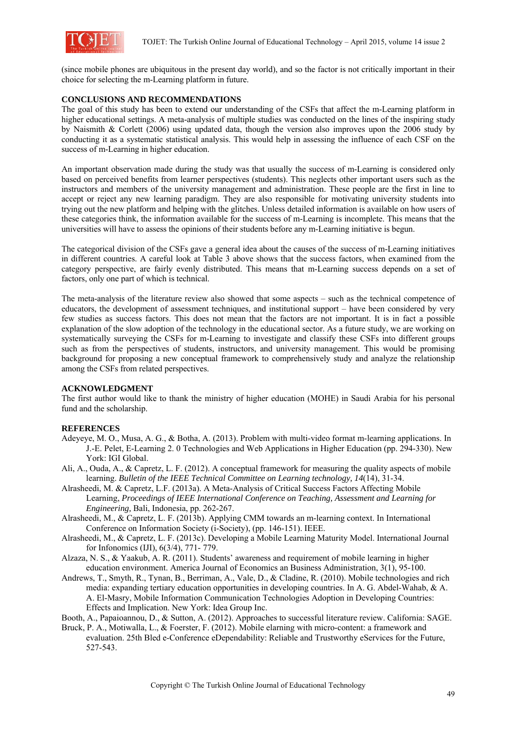

(since mobile phones are ubiquitous in the present day world), and so the factor is not critically important in their choice for selecting the m-Learning platform in future.

# **CONCLUSIONS AND RECOMMENDATIONS**

The goal of this study has been to extend our understanding of the CSFs that affect the m-Learning platform in higher educational settings. A meta-analysis of multiple studies was conducted on the lines of the inspiring study by Naismith & Corlett (2006) using updated data, though the version also improves upon the 2006 study by conducting it as a systematic statistical analysis. This would help in assessing the influence of each CSF on the success of m-Learning in higher education.

An important observation made during the study was that usually the success of m-Learning is considered only based on perceived benefits from learner perspectives (students). This neglects other important users such as the instructors and members of the university management and administration. These people are the first in line to accept or reject any new learning paradigm. They are also responsible for motivating university students into trying out the new platform and helping with the glitches. Unless detailed information is available on how users of these categories think, the information available for the success of m-Learning is incomplete. This means that the universities will have to assess the opinions of their students before any m-Learning initiative is begun.

The categorical division of the CSFs gave a general idea about the causes of the success of m-Learning initiatives in different countries. A careful look at Table 3 above shows that the success factors, when examined from the category perspective, are fairly evenly distributed. This means that m-Learning success depends on a set of factors, only one part of which is technical.

The meta-analysis of the literature review also showed that some aspects – such as the technical competence of educators, the development of assessment techniques, and institutional support – have been considered by very few studies as success factors. This does not mean that the factors are not important. It is in fact a possible explanation of the slow adoption of the technology in the educational sector. As a future study, we are working on systematically surveying the CSFs for m-Learning to investigate and classify these CSFs into different groups such as from the perspectives of students, instructors, and university management. This would be promising background for proposing a new conceptual framework to comprehensively study and analyze the relationship among the CSFs from related perspectives.

## **ACKNOWLEDGMENT**

The first author would like to thank the ministry of higher education (MOHE) in Saudi Arabia for his personal fund and the scholarship.

## **REFERENCES**

- Adeyeye, M. O., Musa, A. G., & Botha, A. (2013). Problem with multi-video format m-learning applications. In J.-E. Pelet, E-Learning 2. 0 Technologies and Web Applications in Higher Education (pp. 294-330). New York: IGI Global.
- Ali, A., Ouda, A., & Capretz, L. F. (2012). A conceptual framework for measuring the quality aspects of mobile learning. *Bulletin of the IEEE Technical Committee on Learning technology, 14*(14), 31-34.
- Alrasheedi, M. & Capretz, L.F. (2013a). A Meta-Analysis of Critical Success Factors Affecting Mobile Learning, *Proceedings of IEEE International Conference on Teaching, Assessment and Learning for Engineering,* Bali, Indonesia, pp. 262-267.
- Alrasheedi, M., & Capretz, L. F. (2013b). Applying CMM towards an m-learning context. In International Conference on Information Society (i-Society), (pp. 146-151). IEEE.
- Alrasheedi, M., & Capretz, L. F. (2013c). Developing a Mobile Learning Maturity Model. International Journal for Infonomics (IJI), 6(3/4), 771- 779.
- Alzaza, N. S., & Yaakub, A. R. (2011). Students' awareness and requirement of mobile learning in higher education environment. America Journal of Economics an Business Administration, 3(1), 95-100.
- Andrews, T., Smyth, R., Tynan, B., Berriman, A., Vale, D., & Cladine, R. (2010). Mobile technologies and rich media: expanding tertiary education opportunities in developing countries. In A. G. Abdel-Wahab, & A. A. El-Masry, Mobile Information Communication Technologies Adoption in Developing Countries: Effects and Implication. New York: Idea Group Inc.
- Booth, A., Papaioannou, D., & Sutton, A. (2012). Approaches to successful literature review. California: SAGE.
- Bruck, P. A., Motiwalla, L., & Foerster, F. (2012). Mobile elarning with micro-content: a framework and evaluation. 25th Bled e-Conference eDependability: Reliable and Trustworthy eServices for the Future, 527-543.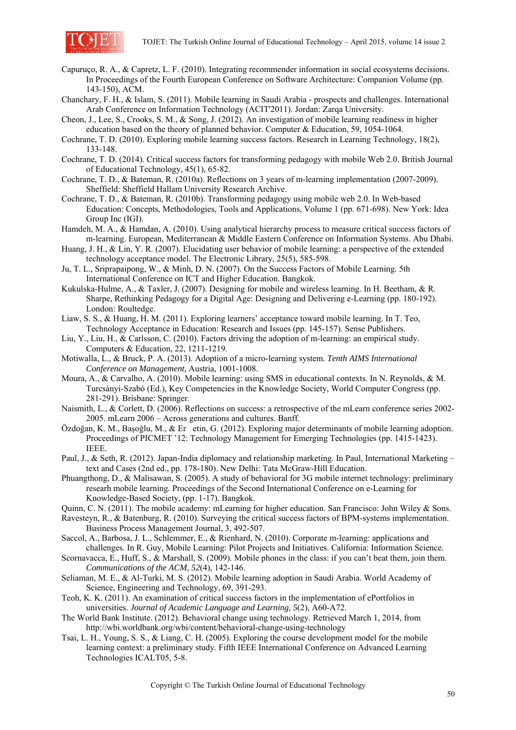

- Capuruço, R. A., & Capretz, L. F. (2010). Integrating recommender information in social ecosystems decisions. In Proceedings of the Fourth European Conference on Software Architecture: Companion Volume (pp. 143-150), ACM.
- Chanchary, F. H., & Islam, S. (2011). Mobile learning in Saudi Arabia prospects and challenges. International Arab Conference on Information Technology (ACIT'2011). Jordan: Zarqa University.
- Cheon, J., Lee, S., Crooks, S. M., & Song, J. (2012). An investigation of mobile learning readiness in higher education based on the theory of planned behavior. Computer & Education, 59, 1054-1064.
- Cochrane, T. D. (2010). Exploring mobile learning success factors. Research in Learning Technology, 18(2), 133-148.
- Cochrane, T. D. (2014). Critical success factors for transforming pedagogy with mobile Web 2.0. British Journal of Educational Technology, 45(1), 65-82.
- Cochrane, T. D., & Bateman, R. (2010a). Reflections on 3 years of m-learning implementation (2007-2009). Sheffield: Sheffield Hallam University Research Archive.
- Cochrane, T. D., & Bateman, R. (2010b). Transforming pedagogy using mobile web 2.0. In Web-based Education: Concepts, Methodologies, Tools and Applications, Volume 1 (pp. 671-698). New York: Idea Group Inc (IGI).
- Hamdeh, M. A., & Hamdan, A. (2010). Using analytical hierarchy process to measure critical success factors of m-learning. European, Mediterranean & Middle Eastern Conference on Information Systems. Abu Dhabi.
- Huang, J. H., & Lin, Y. R. (2007). Elucidating user behavior of mobile learning: a perspective of the extended technology acceptance model. The Electronic Library, 25(5), 585-598.
- Ju, T. L., Sriprapaipong, W., & Minh, D. N. (2007). On the Success Factors of Mobile Learning. 5th International Conference on ICT and Higher Education. Bangkok.
- Kukulska-Hulme, A., & Taxler, J. (2007). Designing for mobile and wireless learning. In H. Beetham, & R. Sharpe, Rethinking Pedagogy for a Digital Age: Designing and Delivering e-Learning (pp. 180-192). London: Roultedge.
- Liaw, S. S., & Huang, H. M. (2011). Exploring learners' acceptance toward mobile learning. In T. Teo, Technology Acceptance in Education: Research and Issues (pp. 145-157). Sense Publishers.
- Liu, Y., Liu, H., & Carlsson, C. (2010). Factors driving the adoption of m-learning: an empirical study. Computers & Education, 22, 1211-1219.
- Motiwalla, L., & Bruck, P. A. (2013). Adoption of a micro-learning system. *Tenth AIMS International Conference on Management,* Austria, 1001-1008.
- Moura, A., & Carvalho, A. (2010). Mobile learning: using SMS in educational contexts. In N. Reynolds, & M. Turcsányi-Szabó (Ed.), Key Competencies in the Knowledge Society, World Computer Congress (pp. 281-291). Brisbane: Springer.
- Naismith, L., & Corlett, D. (2006). Reflections on success: a retrospective of the mLearn conference series 2002- 2005. mLearn 2006 – Across generations and cultures. Banff.
- Özdoğan, K. M., Başoğlu, M., & Eretin, G. (2012). Exploring major determinants of mobile learning adoption. Proceedings of PICMET '12: Technology Management for Emerging Technologies (pp. 1415-1423). IEEE.
- Paul, J., & Seth, R. (2012). Japan-India diplomacy and relationship marketing. In Paul, International Marketing text and Cases (2nd ed., pp. 178-180). New Delhi: Tata McGraw-Hill Education.
- Phuangthong, D., & Malisawan, S. (2005). A study of behavioral for 3G mobile internet technology: preliminary researh mobile learning. Proceedings of the Second International Conference on e-Learning for Knowledge-Based Society, (pp. 1-17). Bangkok.
- Quinn, C. N. (2011). The mobile academy: mLearning for higher education. San Francisco: John Wiley & Sons.
- Ravesteyn, R., & Batenburg, R. (2010). Surveying the critical success factors of BPM-systems implementation. Business Process Management Journal, 3, 492-507.
- Saccol, A., Barbosa, J. L., Schlemmer, E., & Rienhard, N. (2010). Corporate m-learning: applications and challenges. In R. Guy, Mobile Learning: Pilot Projects and Initiatives. California: Information Science.
- Scornavacca, E., Huff, S., & Marshall, S. (2009). Mobile phones in the class: if you can't beat them, join them. *Communications of the ACM, 52*(4), 142-146.
- Seliaman, M. E., & Al-Turki, M. S. (2012). Mobile learning adoption in Saudi Arabia. World Academy of Science, Engineering and Technology, 69, 391-293.
- Teoh, K. K. (2011). An examination of critical success factors in the implementation of ePortfolios in universities. *Journal of Academic Language and Learning, 5*(2), A60-A72.
- The World Bank Institute. (2012). Behavioral change using technology. Retrieved March 1, 2014, from http://wbi.worldbank.org/wbi/content/behavioral-change-using-technology
- Tsai, L. H., Young, S. S., & Liang, C. H. (2005). Exploring the course development model for the mobile learning context: a preliminary study. Fifth IEEE International Conference on Advanced Learning Technologies ICALT05, 5-8.